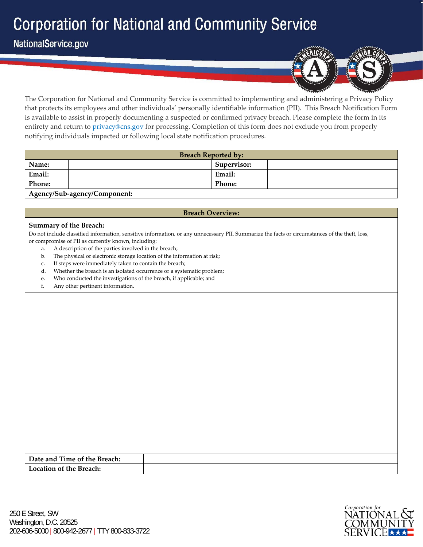NationalService.gov



The Corporation for National and Community Service is committed to implementing and administering a Privacy Policy that protects its employees and other individuals' personally identifiable information (PII). This Breach Notification Form is available to assist in properly documenting a suspected or confirmed privacy breach. Please complete the form in its entirety and return to privacy@cns.gov for processing. Completion of this form does not exclude you from properly notifying individuals impacted or following local state notification procedures.

|               | <b>Breach Reported by:</b>   |  |               |  |  |  |  |  |
|---------------|------------------------------|--|---------------|--|--|--|--|--|
| Name:         |                              |  | Supervisor:   |  |  |  |  |  |
| Email:        |                              |  | Email:        |  |  |  |  |  |
| <b>Phone:</b> |                              |  | <b>Phone:</b> |  |  |  |  |  |
|               | Agency/Sub-agency/Component: |  |               |  |  |  |  |  |

## **Breach Overview:**

### **Summary of the Breach:**

Do not include classified information, sensitive information, or any unnecessary PII. Summarize the facts or circumstances of the theft, loss, or compromise of PII as currently known, including:

- a. A description of the parties involved in the breach;
- b. The physical or electronic storage location of the information at risk;
- c. If steps were immediately taken to contain the breach;
- d. Whether the breach is an isolated occurrence or a systematic problem;
- e. Who conducted the investigations of the breach, if applicable; and
- f. Any other pertinent information.

| Date and Time of the Breach: |  |
|------------------------------|--|
| Location of the Breach:      |  |

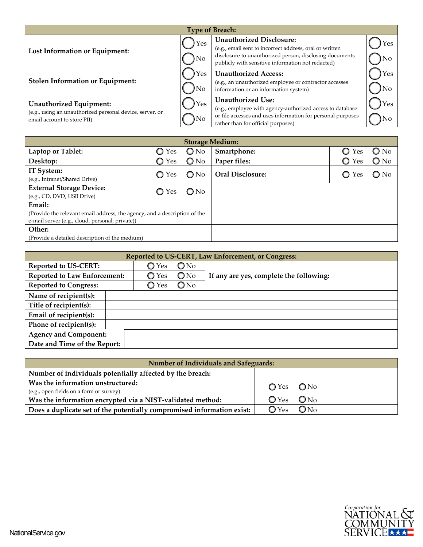| <b>Type of Breach:</b>                                                                                                    |             |                                                                                                                                                                                                            |            |  |  |  |  |  |
|---------------------------------------------------------------------------------------------------------------------------|-------------|------------------------------------------------------------------------------------------------------------------------------------------------------------------------------------------------------------|------------|--|--|--|--|--|
| Lost Information or Equipment:                                                                                            | Yes<br>) No | <b>Unauthorized Disclosure:</b><br>(e.g., email sent to incorrect address, oral or written<br>disclosure to unauthorized person, disclosing documents<br>publicly with sensitive information not redacted) | Yes<br>No  |  |  |  |  |  |
| <b>Stolen Information or Equipment:</b>                                                                                   | Yes<br>)No  | <b>Unauthorized Access:</b><br>(e.g., an unauthorized employee or contractor accesses<br>information or an information system)                                                                             | Yes<br>)No |  |  |  |  |  |
| <b>Unauthorized Equipment:</b><br>(e.g., using an unauthorized personal device, server, or<br>email account to store PII) | Yes<br>)No  | <b>Unauthorized Use:</b><br>(e.g., employee with agency-authorized access to database<br>or file accesses and uses information for personal purposes<br>rather than for official purposes)                 | Yes<br>lNо |  |  |  |  |  |

| <b>Storage Medium:</b>                                                                                                       |                |               |                         |                |               |  |  |  |
|------------------------------------------------------------------------------------------------------------------------------|----------------|---------------|-------------------------|----------------|---------------|--|--|--|
| Laptop or Tablet:                                                                                                            | ◯ Yes          | $\bigcirc$ No | Smartphone:             | $\circ$<br>Yes | $\bigcirc$ No |  |  |  |
| Desktop:                                                                                                                     | $\bigcirc$ Yes | $\bigcirc$ No | Paper files:            | $\bigcirc$ Yes | $\bigcirc$ No |  |  |  |
| IT System:<br>(e.g., Intranet/Shared Drive)                                                                                  | $\bigcirc$ Yes | $\bigcirc$ No | <b>Oral Disclosure:</b> | O Yes          | $\bigcirc$ No |  |  |  |
| <b>External Storage Device:</b><br>(e.g., CD, DVD, USB Drive)                                                                | ◯ Yes          | ONo           |                         |                |               |  |  |  |
| Email:                                                                                                                       |                |               |                         |                |               |  |  |  |
| (Provide the relevant email address, the agency, and a description of the<br>e-mail server (e.g., cloud, personal, private)) |                |               |                         |                |               |  |  |  |
| Other:                                                                                                                       |                |               |                         |                |               |  |  |  |
| (Provide a detailed description of the medium)                                                                               |                |               |                         |                |               |  |  |  |

| Reported to US-CERT, Law Enforcement, or Congress: |                |               |                                         |  |  |  |  |
|----------------------------------------------------|----------------|---------------|-----------------------------------------|--|--|--|--|
| <b>Reported to US-CERT:</b>                        | Yes<br>O       | $\bigcirc$ No |                                         |  |  |  |  |
| <b>Reported to Law Enforcement:</b>                | $\bigcirc$ Yes | $\bigcirc$ No | If any are yes, complete the following: |  |  |  |  |
| <b>Reported to Congress:</b>                       | $\bigcirc$ Yes | ONo           |                                         |  |  |  |  |
| Name of recipient(s):                              |                |               |                                         |  |  |  |  |
| Title of recipient(s):                             |                |               |                                         |  |  |  |  |
| Email of recipient(s):                             |                |               |                                         |  |  |  |  |
| Phone of recipient(s):                             |                |               |                                         |  |  |  |  |
| <b>Agency and Component:</b>                       |                |               |                                         |  |  |  |  |
| Date and Time of the Report:                       |                |               |                                         |  |  |  |  |

| <b>Number of Individuals and Safeguards:</b>                                 |                                   |  |  |  |  |  |  |  |
|------------------------------------------------------------------------------|-----------------------------------|--|--|--|--|--|--|--|
| Number of individuals potentially affected by the breach:                    |                                   |  |  |  |  |  |  |  |
| Was the information unstructured:<br>(e.g., open fields on a form or survey) | $OYes$ $ONo$                      |  |  |  |  |  |  |  |
| Was the information encrypted via a NIST-validated method:                   | ONo<br>$\mathbf{O}$ Yes           |  |  |  |  |  |  |  |
| Does a duplicate set of the potentially compromised information exist:       | ON <sub>0</sub><br>$\bigcirc$ Yes |  |  |  |  |  |  |  |

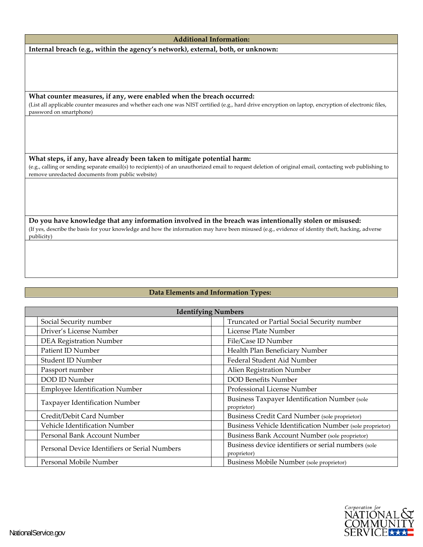#### **Additional Information:**

**Internal breach (e.g., within the agency's network), external, both, or unknown:**

**What counter measures, if any, were enabled when the breach occurred:**

(List all applicable counter measures and whether each one was NIST certified (e.g., hard drive encryption on laptop, encryption of electronic files, password on smartphone)

**What steps, if any, have already been taken to mitigate potential harm:**

(e.g., calling or sending separate email(s) to recipient(s) of an unauthorized email to request deletion of original email, contacting web publishing to remove unredacted documents from public website)

**Do you have knowledge that any information involved in the breach was intentionally stolen or misused:** (If yes, describe the basis for your knowledge and how the information may have been misused (e.g., evidence of identity theft, hacking, adverse publicity)

## **Data Elements and Information Types:**

| <b>Identifying Numbers</b>                    |                                                                    |  |  |  |  |  |  |
|-----------------------------------------------|--------------------------------------------------------------------|--|--|--|--|--|--|
| Social Security number                        | Truncated or Partial Social Security number                        |  |  |  |  |  |  |
| Driver's License Number                       | License Plate Number                                               |  |  |  |  |  |  |
| <b>DEA Registration Number</b>                | File/Case ID Number                                                |  |  |  |  |  |  |
| Patient ID Number                             | Health Plan Beneficiary Number                                     |  |  |  |  |  |  |
| Student ID Number                             | Federal Student Aid Number                                         |  |  |  |  |  |  |
| Passport number                               | Alien Registration Number                                          |  |  |  |  |  |  |
| DOD ID Number                                 | <b>DOD Benefits Number</b>                                         |  |  |  |  |  |  |
| <b>Employee Identification Number</b>         | Professional License Number                                        |  |  |  |  |  |  |
| Taxpayer Identification Number                | <b>Business Taxpayer Identification Number (sole</b>               |  |  |  |  |  |  |
|                                               | proprietor)                                                        |  |  |  |  |  |  |
| Credit/Debit Card Number                      | Business Credit Card Number (sole proprietor)                      |  |  |  |  |  |  |
| Vehicle Identification Number                 | Business Vehicle Identification Number (sole proprietor)           |  |  |  |  |  |  |
| Personal Bank Account Number                  | Business Bank Account Number (sole proprietor)                     |  |  |  |  |  |  |
| Personal Device Identifiers or Serial Numbers | Business device identifiers or serial numbers (sole<br>proprietor) |  |  |  |  |  |  |
| Personal Mobile Number                        | Business Mobile Number (sole proprietor)                           |  |  |  |  |  |  |